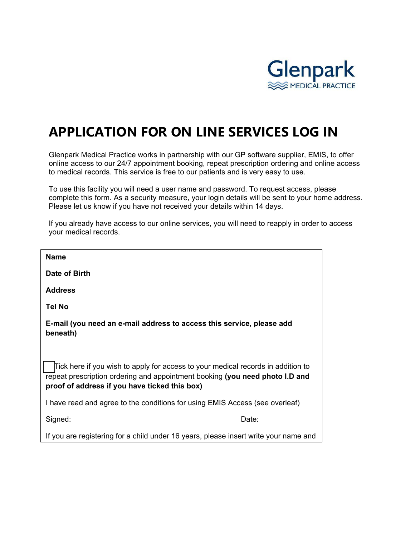

# **APPLICATION FOR ON LINE SERVICES LOG IN**

Glenpark Medical Practice works in partnership with our GP software supplier, EMIS, to offer online access to our 24/7 appointment booking, repeat prescription ordering and online access to medical records. This service is free to our patients and is very easy to use.

To use this facility you will need a user name and password. To request access, please complete this form. As a security measure, your login details will be sent to your home address. Please let us know if you have not received your details within 14 days.

If you already have access to our online services, you will need to reapply in order to access your medical records.

| <b>Name</b>                                                                                                                                                                                                       |  |
|-------------------------------------------------------------------------------------------------------------------------------------------------------------------------------------------------------------------|--|
| Date of Birth                                                                                                                                                                                                     |  |
| <b>Address</b>                                                                                                                                                                                                    |  |
| Tel No                                                                                                                                                                                                            |  |
| E-mail (you need an e-mail address to access this service, please add<br>beneath)                                                                                                                                 |  |
| Tick here if you wish to apply for access to your medical records in addition to<br>repeat prescription ordering and appointment booking (you need photo I.D and<br>proof of address if you have ticked this box) |  |
| I have read and agree to the conditions for using EMIS Access (see overleaf)                                                                                                                                      |  |
| Signed:<br>Date:                                                                                                                                                                                                  |  |
| If you are registering for a child under 16 years, please insert write your name and                                                                                                                              |  |
|                                                                                                                                                                                                                   |  |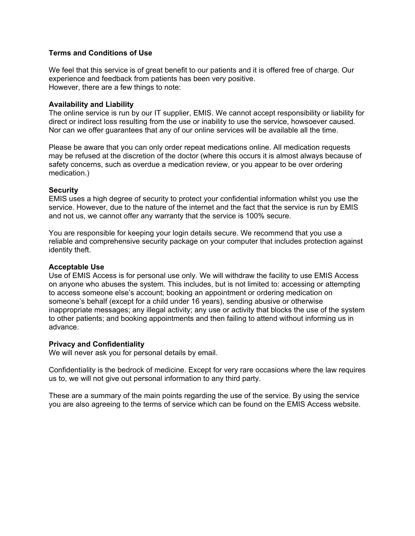# **Terms and Conditions of Use**

We feel that this service is of great benefit to our patients and it is offered free of charge. Our experience and feedback from patients has been very positive. However, there are a few things to note:

### **Availability and Liability**

The online service is run by our IT supplier, EMIS. We cannot accept responsibility or liability for direct or indirect loss resulting from the use or inability to use the service, howsoever caused. Nor can we offer guarantees that any of our online services will be available all the time.

Please be aware that you can only order repeat medications online. All medication requests may be refused at the discretion of the doctor (where this occurs it is almost always because of safety concerns, such as overdue a medication review, or you appear to be over ordering medication.)

# **Security**

EMIS uses a high degree of security to protect your confidential information whilst you use the service. However, due to the nature of the internet and the fact that the service is run by EMIS and not us, we cannot offer any warranty that the service is 100% secure.

You are responsible for keeping your login details secure. We recommend that you use a reliable and comprehensive security package on your computer that includes protection against identity theft.

## **Acceptable Use**

Use of EMIS Access is for personal use only. We will withdraw the facility to use EMIS Access on anyone who abuses the system. This includes, but is not limited to: accessing or attempting to access someone else's account; booking an appointment or ordering medication on someone's behalf (except for a child under 16 years), sending abusive or otherwise inappropriate messages; any illegal activity; any use or activity that blocks the use of the system to other patients; and booking appointments and then failing to attend without informing us in advance.

### **Privacy and Confidentiality**

We will never ask you for personal details by email.

Confidentiality is the bedrock of medicine. Except for very rare occasions where the law requires us to, we will not give out personal information to any third party.

These are a summary of the main points regarding the use of the service. By using the service you are also agreeing to the terms of service which can be found on the EMIS Access website.